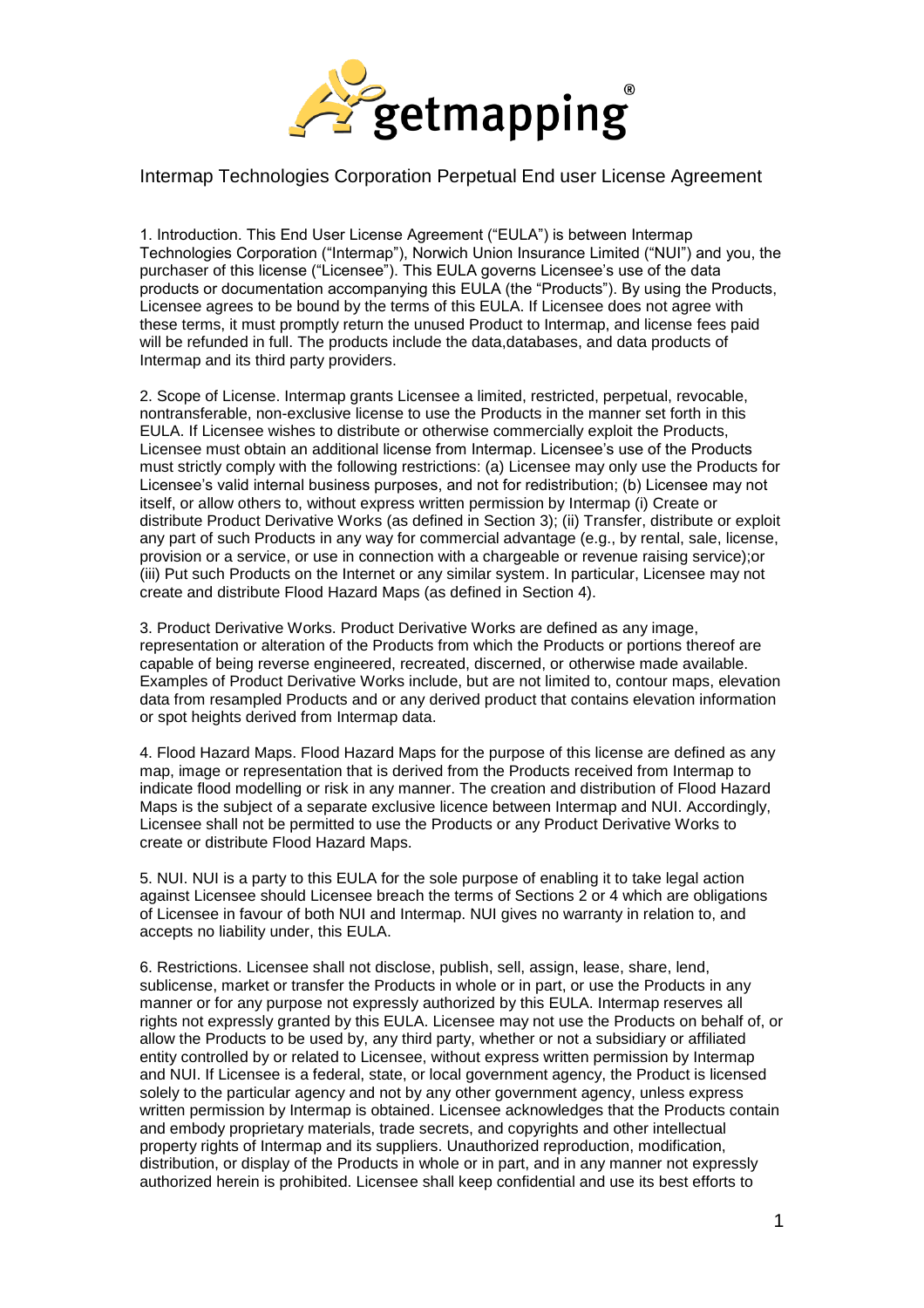

## Intermap Technologies Corporation Perpetual End user License Agreement

1. Introduction. This End User License Agreement ("EULA") is between Intermap Technologies Corporation ("Intermap"), Norwich Union Insurance Limited ("NUI") and you, the purchaser of this license ("Licensee"). This EULA governs Licensee's use of the data products or documentation accompanying this EULA (the "Products"). By using the Products, Licensee agrees to be bound by the terms of this EULA. If Licensee does not agree with these terms, it must promptly return the unused Product to Intermap, and license fees paid will be refunded in full. The products include the data,databases, and data products of Intermap and its third party providers.

2. Scope of License. Intermap grants Licensee a limited, restricted, perpetual, revocable, nontransferable, non-exclusive license to use the Products in the manner set forth in this EULA. If Licensee wishes to distribute or otherwise commercially exploit the Products, Licensee must obtain an additional license from Intermap. Licensee's use of the Products must strictly comply with the following restrictions: (a) Licensee may only use the Products for Licensee's valid internal business purposes, and not for redistribution; (b) Licensee may not itself, or allow others to, without express written permission by Intermap (i) Create or distribute Product Derivative Works (as defined in Section 3); (ii) Transfer, distribute or exploit any part of such Products in any way for commercial advantage (e.g., by rental, sale, license, provision or a service, or use in connection with a chargeable or revenue raising service);or (iii) Put such Products on the Internet or any similar system. In particular, Licensee may not create and distribute Flood Hazard Maps (as defined in Section 4).

3. Product Derivative Works. Product Derivative Works are defined as any image, representation or alteration of the Products from which the Products or portions thereof are capable of being reverse engineered, recreated, discerned, or otherwise made available. Examples of Product Derivative Works include, but are not limited to, contour maps, elevation data from resampled Products and or any derived product that contains elevation information or spot heights derived from Intermap data.

4. Flood Hazard Maps. Flood Hazard Maps for the purpose of this license are defined as any map, image or representation that is derived from the Products received from Intermap to indicate flood modelling or risk in any manner. The creation and distribution of Flood Hazard Maps is the subject of a separate exclusive licence between Intermap and NUI. Accordingly, Licensee shall not be permitted to use the Products or any Product Derivative Works to create or distribute Flood Hazard Maps.

5. NUI. NUI is a party to this EULA for the sole purpose of enabling it to take legal action against Licensee should Licensee breach the terms of Sections 2 or 4 which are obligations of Licensee in favour of both NUI and Intermap. NUI gives no warranty in relation to, and accepts no liability under, this EULA.

6. Restrictions. Licensee shall not disclose, publish, sell, assign, lease, share, lend, sublicense, market or transfer the Products in whole or in part, or use the Products in any manner or for any purpose not expressly authorized by this EULA. Intermap reserves all rights not expressly granted by this EULA. Licensee may not use the Products on behalf of, or allow the Products to be used by, any third party, whether or not a subsidiary or affiliated entity controlled by or related to Licensee, without express written permission by Intermap and NUI. If Licensee is a federal, state, or local government agency, the Product is licensed solely to the particular agency and not by any other government agency, unless express written permission by Intermap is obtained. Licensee acknowledges that the Products contain and embody proprietary materials, trade secrets, and copyrights and other intellectual property rights of Intermap and its suppliers. Unauthorized reproduction, modification, distribution, or display of the Products in whole or in part, and in any manner not expressly authorized herein is prohibited. Licensee shall keep confidential and use its best efforts to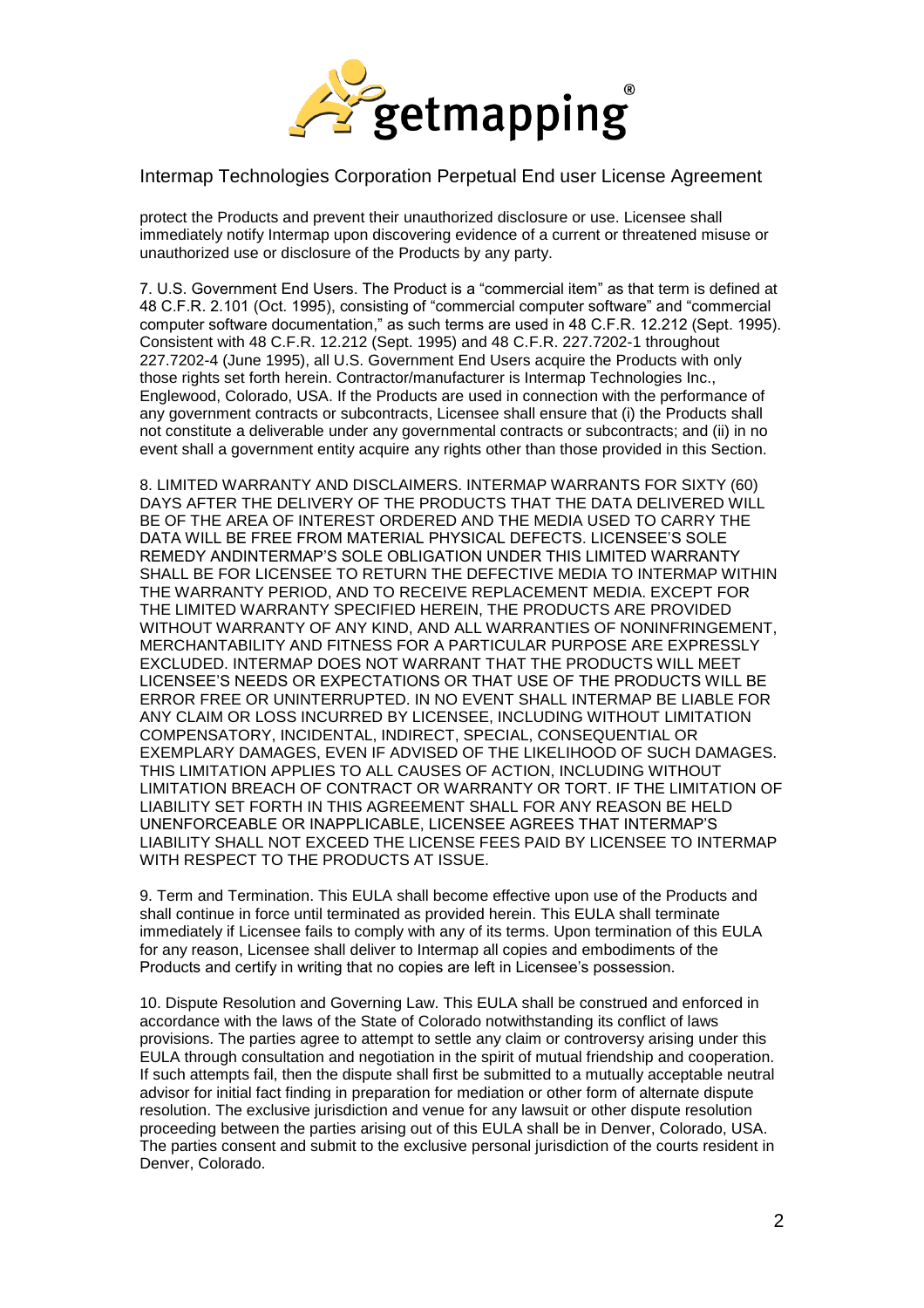

## Intermap Technologies Corporation Perpetual End user License Agreement

protect the Products and prevent their unauthorized disclosure or use. Licensee shall immediately notify Intermap upon discovering evidence of a current or threatened misuse or unauthorized use or disclosure of the Products by any party.

7. U.S. Government End Users. The Product is a "commercial item" as that term is defined at 48 C.F.R. 2.101 (Oct. 1995), consisting of "commercial computer software" and "commercial computer software documentation," as such terms are used in 48 C.F.R. 12.212 (Sept. 1995). Consistent with 48 C.F.R. 12.212 (Sept. 1995) and 48 C.F.R. 227.7202-1 throughout 227.7202-4 (June 1995), all U.S. Government End Users acquire the Products with only those rights set forth herein. Contractor/manufacturer is Intermap Technologies Inc., Englewood, Colorado, USA. If the Products are used in connection with the performance of any government contracts or subcontracts, Licensee shall ensure that (i) the Products shall not constitute a deliverable under any governmental contracts or subcontracts; and (ii) in no event shall a government entity acquire any rights other than those provided in this Section.

8. LIMITED WARRANTY AND DISCLAIMERS. INTERMAP WARRANTS FOR SIXTY (60) DAYS AFTER THE DELIVERY OF THE PRODUCTS THAT THE DATA DELIVERED WILL BE OF THE AREA OF INTEREST ORDERED AND THE MEDIA USED TO CARRY THE DATA WILL BE FREE FROM MATERIAL PHYSICAL DEFECTS. LICENSEE'S SOLE REMEDY ANDINTERMAP'S SOLE OBLIGATION UNDER THIS LIMITED WARRANTY SHALL BE FOR LICENSEE TO RETURN THE DEFECTIVE MEDIA TO INTERMAP WITHIN THE WARRANTY PERIOD, AND TO RECEIVE REPLACEMENT MEDIA. EXCEPT FOR THE LIMITED WARRANTY SPECIFIED HEREIN, THE PRODUCTS ARE PROVIDED WITHOUT WARRANTY OF ANY KIND, AND ALL WARRANTIES OF NONINFRINGEMENT, MERCHANTABILITY AND FITNESS FOR A PARTICULAR PURPOSE ARE EXPRESSLY EXCLUDED. INTERMAP DOES NOT WARRANT THAT THE PRODUCTS WILL MEET LICENSEE'S NEEDS OR EXPECTATIONS OR THAT USE OF THE PRODUCTS WILL BE ERROR FREE OR UNINTERRUPTED. IN NO EVENT SHALL INTERMAP BE LIABLE FOR ANY CLAIM OR LOSS INCURRED BY LICENSEE, INCLUDING WITHOUT LIMITATION COMPENSATORY, INCIDENTAL, INDIRECT, SPECIAL, CONSEQUENTIAL OR EXEMPLARY DAMAGES, EVEN IF ADVISED OF THE LIKELIHOOD OF SUCH DAMAGES. THIS LIMITATION APPLIES TO ALL CAUSES OF ACTION, INCLUDING WITHOUT LIMITATION BREACH OF CONTRACT OR WARRANTY OR TORT. IF THE LIMITATION OF LIABILITY SET FORTH IN THIS AGREEMENT SHALL FOR ANY REASON BE HELD UNENFORCEABLE OR INAPPLICABLE, LICENSEE AGREES THAT INTERMAP'S LIABILITY SHALL NOT EXCEED THE LICENSE FEES PAID BY LICENSEE TO INTERMAP WITH RESPECT TO THE PRODUCTS AT ISSUE.

9. Term and Termination. This EULA shall become effective upon use of the Products and shall continue in force until terminated as provided herein. This EULA shall terminate immediately if Licensee fails to comply with any of its terms. Upon termination of this EULA for any reason, Licensee shall deliver to Intermap all copies and embodiments of the Products and certify in writing that no copies are left in Licensee's possession.

10. Dispute Resolution and Governing Law. This EULA shall be construed and enforced in accordance with the laws of the State of Colorado notwithstanding its conflict of laws provisions. The parties agree to attempt to settle any claim or controversy arising under this EULA through consultation and negotiation in the spirit of mutual friendship and cooperation. If such attempts fail, then the dispute shall first be submitted to a mutually acceptable neutral advisor for initial fact finding in preparation for mediation or other form of alternate dispute resolution. The exclusive jurisdiction and venue for any lawsuit or other dispute resolution proceeding between the parties arising out of this EULA shall be in Denver, Colorado, USA. The parties consent and submit to the exclusive personal jurisdiction of the courts resident in Denver, Colorado.